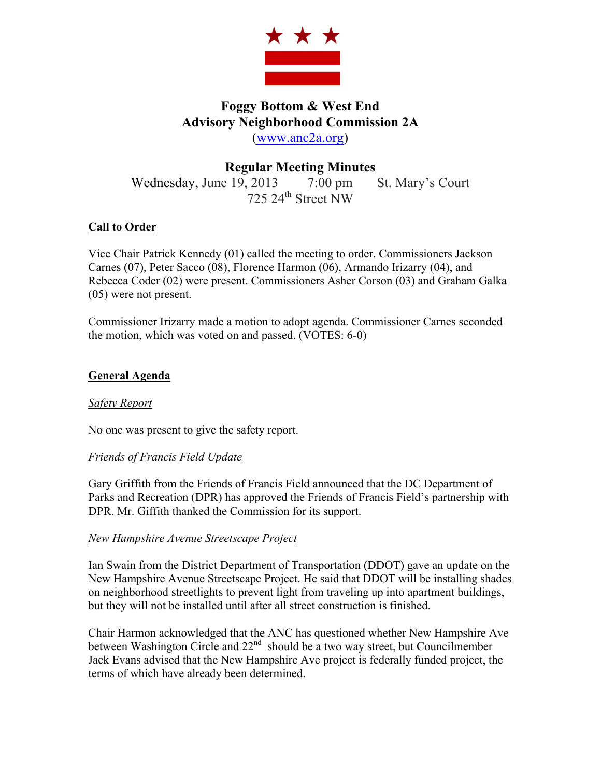

# **Foggy Bottom & West End Advisory Neighborhood Commission 2A** (www.anc2a.org)

# **Regular Meeting Minutes**

Wednesday, June 19, 2013 7:00 pm St. Mary's Court 725 24<sup>th</sup> Street NW

# **Call to Order**

Vice Chair Patrick Kennedy (01) called the meeting to order. Commissioners Jackson Carnes (07), Peter Sacco (08), Florence Harmon (06), Armando Irizarry (04), and Rebecca Coder (02) were present. Commissioners Asher Corson (03) and Graham Galka (05) were not present.

Commissioner Irizarry made a motion to adopt agenda. Commissioner Carnes seconded the motion, which was voted on and passed. (VOTES: 6-0)

## **General Agenda**

## *Safety Report*

No one was present to give the safety report.

## *Friends of Francis Field Update*

Gary Griffith from the Friends of Francis Field announced that the DC Department of Parks and Recreation (DPR) has approved the Friends of Francis Field's partnership with DPR. Mr. Giffith thanked the Commission for its support.

## *New Hampshire Avenue Streetscape Project*

Ian Swain from the District Department of Transportation (DDOT) gave an update on the New Hampshire Avenue Streetscape Project. He said that DDOT will be installing shades on neighborhood streetlights to prevent light from traveling up into apartment buildings, but they will not be installed until after all street construction is finished.

Chair Harmon acknowledged that the ANC has questioned whether New Hampshire Ave between Washington Circle and  $22<sup>nd</sup>$  should be a two way street, but Councilmember Jack Evans advised that the New Hampshire Ave project is federally funded project, the terms of which have already been determined.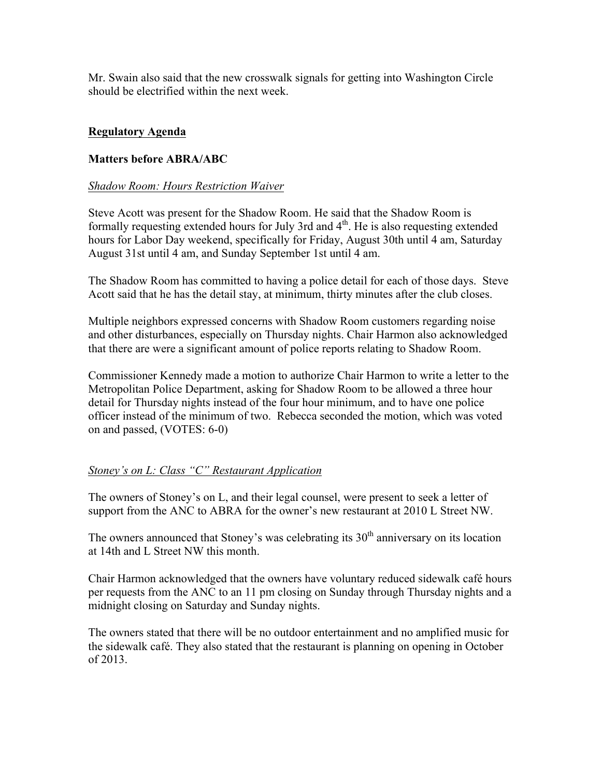Mr. Swain also said that the new crosswalk signals for getting into Washington Circle should be electrified within the next week.

#### **Regulatory Agenda**

#### **Matters before ABRA/ABC**

#### *Shadow Room: Hours Restriction Waiver*

Steve Acott was present for the Shadow Room. He said that the Shadow Room is formally requesting extended hours for July 3rd and  $4<sup>th</sup>$ . He is also requesting extended hours for Labor Day weekend, specifically for Friday, August 30th until 4 am, Saturday August 31st until 4 am, and Sunday September 1st until 4 am.

The Shadow Room has committed to having a police detail for each of those days. Steve Acott said that he has the detail stay, at minimum, thirty minutes after the club closes.

Multiple neighbors expressed concerns with Shadow Room customers regarding noise and other disturbances, especially on Thursday nights. Chair Harmon also acknowledged that there are were a significant amount of police reports relating to Shadow Room.

Commissioner Kennedy made a motion to authorize Chair Harmon to write a letter to the Metropolitan Police Department, asking for Shadow Room to be allowed a three hour detail for Thursday nights instead of the four hour minimum, and to have one police officer instead of the minimum of two. Rebecca seconded the motion, which was voted on and passed, (VOTES: 6-0)

## *Stoney's on L: Class "C" Restaurant Application*

The owners of Stoney's on L, and their legal counsel, were present to seek a letter of support from the ANC to ABRA for the owner's new restaurant at 2010 L Street NW.

The owners announced that Stoney's was celebrating its  $30<sup>th</sup>$  anniversary on its location at 14th and L Street NW this month.

Chair Harmon acknowledged that the owners have voluntary reduced sidewalk café hours per requests from the ANC to an 11 pm closing on Sunday through Thursday nights and a midnight closing on Saturday and Sunday nights.

The owners stated that there will be no outdoor entertainment and no amplified music for the sidewalk café. They also stated that the restaurant is planning on opening in October of 2013.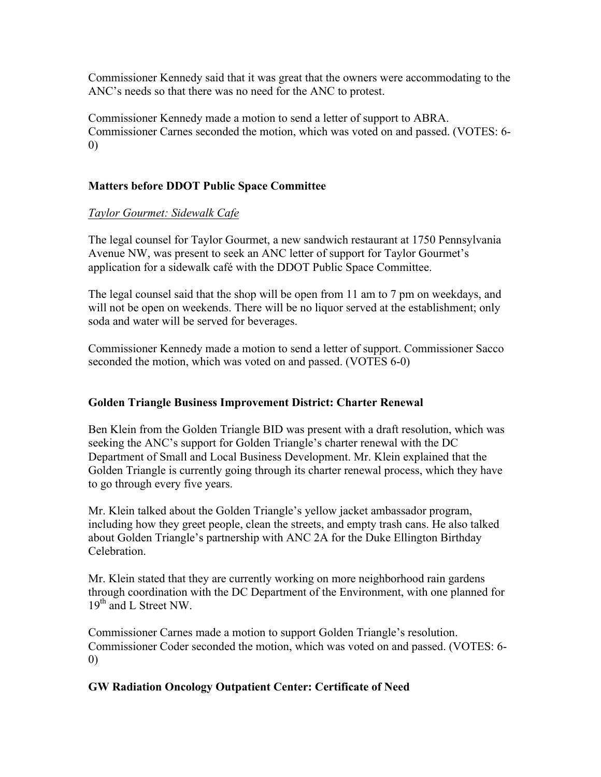Commissioner Kennedy said that it was great that the owners were accommodating to the ANC's needs so that there was no need for the ANC to protest.

Commissioner Kennedy made a motion to send a letter of support to ABRA. Commissioner Carnes seconded the motion, which was voted on and passed. (VOTES: 6- 0)

# **Matters before DDOT Public Space Committee**

## *Taylor Gourmet: Sidewalk Cafe*

The legal counsel for Taylor Gourmet, a new sandwich restaurant at 1750 Pennsylvania Avenue NW, was present to seek an ANC letter of support for Taylor Gourmet's application for a sidewalk café with the DDOT Public Space Committee.

The legal counsel said that the shop will be open from 11 am to 7 pm on weekdays, and will not be open on weekends. There will be no liquor served at the establishment; only soda and water will be served for beverages.

Commissioner Kennedy made a motion to send a letter of support. Commissioner Sacco seconded the motion, which was voted on and passed. (VOTES 6-0)

## **Golden Triangle Business Improvement District: Charter Renewal**

Ben Klein from the Golden Triangle BID was present with a draft resolution, which was seeking the ANC's support for Golden Triangle's charter renewal with the DC Department of Small and Local Business Development. Mr. Klein explained that the Golden Triangle is currently going through its charter renewal process, which they have to go through every five years.

Mr. Klein talked about the Golden Triangle's yellow jacket ambassador program, including how they greet people, clean the streets, and empty trash cans. He also talked about Golden Triangle's partnership with ANC 2A for the Duke Ellington Birthday Celebration.

Mr. Klein stated that they are currently working on more neighborhood rain gardens through coordination with the DC Department of the Environment, with one planned for 19<sup>th</sup> and L Street NW.

Commissioner Carnes made a motion to support Golden Triangle's resolution. Commissioner Coder seconded the motion, which was voted on and passed. (VOTES: 6- 0)

## **GW Radiation Oncology Outpatient Center: Certificate of Need**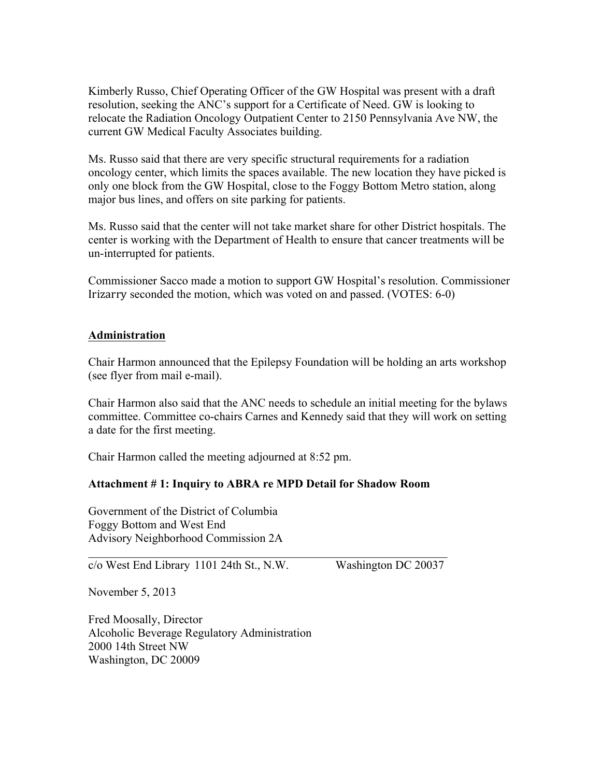Kimberly Russo, Chief Operating Officer of the GW Hospital was present with a draft resolution, seeking the ANC's support for a Certificate of Need. GW is looking to relocate the Radiation Oncology Outpatient Center to 2150 Pennsylvania Ave NW, the current GW Medical Faculty Associates building.

Ms. Russo said that there are very specific structural requirements for a radiation oncology center, which limits the spaces available. The new location they have picked is only one block from the GW Hospital, close to the Foggy Bottom Metro station, along major bus lines, and offers on site parking for patients.

Ms. Russo said that the center will not take market share for other District hospitals. The center is working with the Department of Health to ensure that cancer treatments will be un-interrupted for patients.

Commissioner Sacco made a motion to support GW Hospital's resolution. Commissioner Irizarry seconded the motion, which was voted on and passed. (VOTES: 6-0)

#### **Administration**

Chair Harmon announced that the Epilepsy Foundation will be holding an arts workshop (see flyer from mail e-mail).

Chair Harmon also said that the ANC needs to schedule an initial meeting for the bylaws committee. Committee co-chairs Carnes and Kennedy said that they will work on setting a date for the first meeting.

Chair Harmon called the meeting adjourned at 8:52 pm.

#### **Attachment # 1: Inquiry to ABRA re MPD Detail for Shadow Room**

 $\mathcal{L}_\text{max}$  , and the contribution of the contribution of the contribution of the contribution of the contribution of the contribution of the contribution of the contribution of the contribution of the contribution of t

Government of the District of Columbia Foggy Bottom and West End Advisory Neighborhood Commission 2A

c/o West End Library 1101 24th St., N.W. Washington DC 20037

November 5, 2013

Fred Moosally, Director Alcoholic Beverage Regulatory Administration 2000 14th Street NW Washington, DC 20009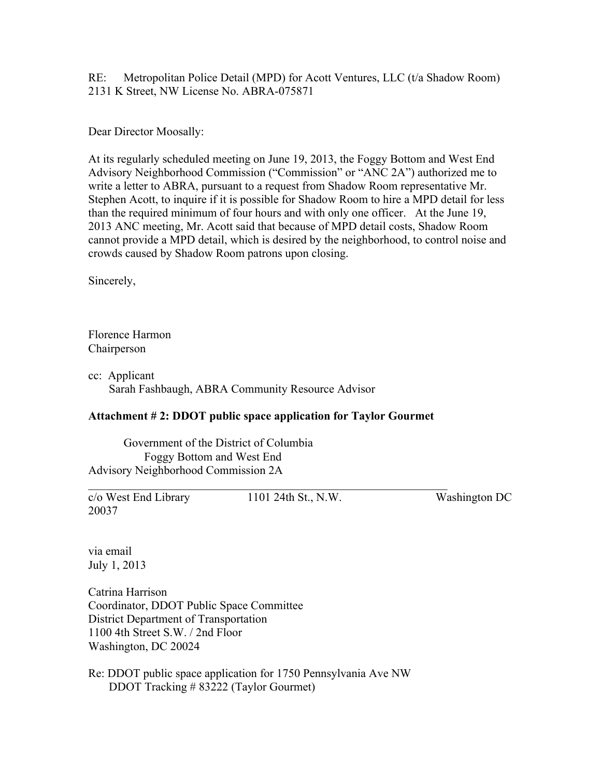RE: Metropolitan Police Detail (MPD) for Acott Ventures, LLC (t/a Shadow Room) 2131 K Street, NW License No. ABRA-075871

Dear Director Moosally:

At its regularly scheduled meeting on June 19, 2013, the Foggy Bottom and West End Advisory Neighborhood Commission ("Commission" or "ANC 2A") authorized me to write a letter to ABRA, pursuant to a request from Shadow Room representative Mr. Stephen Acott, to inquire if it is possible for Shadow Room to hire a MPD detail for less than the required minimum of four hours and with only one officer. At the June 19, 2013 ANC meeting, Mr. Acott said that because of MPD detail costs, Shadow Room cannot provide a MPD detail, which is desired by the neighborhood, to control noise and crowds caused by Shadow Room patrons upon closing.

Sincerely,

Florence Harmon Chairperson

cc: Applicant Sarah Fashbaugh, ABRA Community Resource Advisor

## **Attachment # 2: DDOT public space application for Taylor Gourmet**

 $\mathcal{L}_\text{max}$  , and the contribution of the contribution of the contribution of the contribution of the contribution of the contribution of the contribution of the contribution of the contribution of the contribution of t

Government of the District of Columbia Foggy Bottom and West End Advisory Neighborhood Commission 2A

c/o West End Library 1101 24th St., N.W. Washington DC 20037

via email July 1, 2013

Catrina Harrison Coordinator, DDOT Public Space Committee District Department of Transportation 1100 4th Street S.W. / 2nd Floor Washington, DC 20024

Re: DDOT public space application for 1750 Pennsylvania Ave NW DDOT Tracking # 83222 (Taylor Gourmet)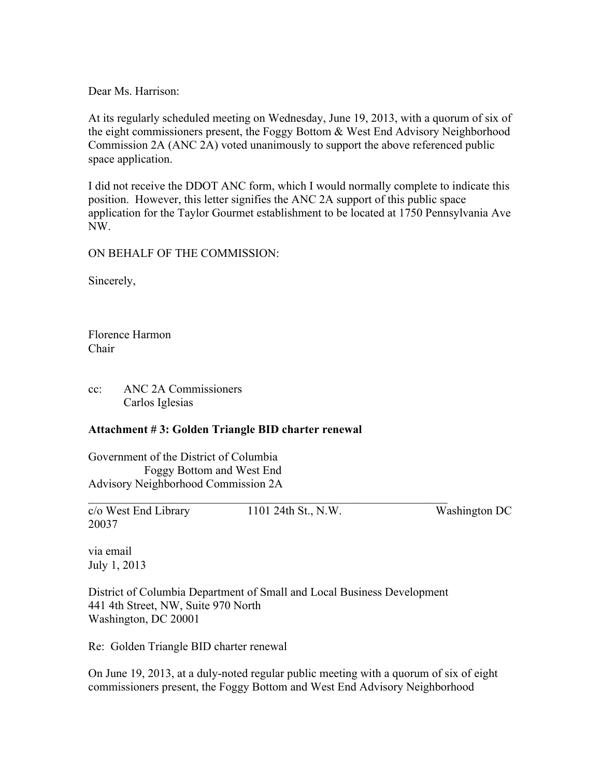Dear Ms. Harrison:

At its regularly scheduled meeting on Wednesday, June 19, 2013, with a quorum of six of the eight commissioners present, the Foggy Bottom & West End Advisory Neighborhood Commission 2A (ANC 2A) voted unanimously to support the above referenced public space application.

I did not receive the DDOT ANC form, which I would normally complete to indicate this position. However, this letter signifies the ANC 2A support of this public space application for the Taylor Gourmet establishment to be located at 1750 Pennsylvania Ave NW.

ON BEHALF OF THE COMMISSION:

Sincerely,

Florence Harmon Chair

cc: ANC 2A Commissioners Carlos Iglesias

#### **Attachment # 3: Golden Triangle BID charter renewal**

Government of the District of Columbia Foggy Bottom and West End Advisory Neighborhood Commission 2A

c/o West End Library 1101 24th St., N.W. Washington DC 20037

via email July 1, 2013

District of Columbia Department of Small and Local Business Development 441 4th Street, NW, Suite 970 North Washington, DC 20001

 $\mathcal{L}_\text{max}$  , and the contribution of the contribution of the contribution of the contribution of the contribution of the contribution of the contribution of the contribution of the contribution of the contribution of t

Re: Golden Triangle BID charter renewal

On June 19, 2013, at a duly-noted regular public meeting with a quorum of six of eight commissioners present, the Foggy Bottom and West End Advisory Neighborhood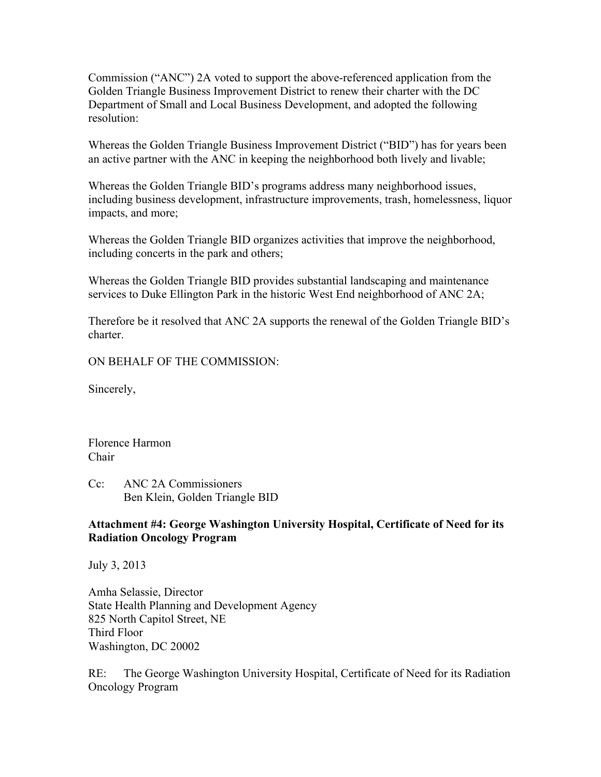Commission ("ANC") 2A voted to support the above-referenced application from the Golden Triangle Business Improvement District to renew their charter with the DC Department of Small and Local Business Development, and adopted the following resolution:

Whereas the Golden Triangle Business Improvement District ("BID") has for years been an active partner with the ANC in keeping the neighborhood both lively and livable;

Whereas the Golden Triangle BID's programs address many neighborhood issues, including business development, infrastructure improvements, trash, homelessness, liquor impacts, and more;

Whereas the Golden Triangle BID organizes activities that improve the neighborhood, including concerts in the park and others;

Whereas the Golden Triangle BID provides substantial landscaping and maintenance services to Duke Ellington Park in the historic West End neighborhood of ANC 2A;

Therefore be it resolved that ANC 2A supports the renewal of the Golden Triangle BID's charter.

ON BEHALF OF THE COMMISSION:

Sincerely,

Florence Harmon Chair

Cc: ANC 2A Commissioners Ben Klein, Golden Triangle BID

#### **Attachment #4: George Washington University Hospital, Certificate of Need for its Radiation Oncology Program**

July 3, 2013

Amha Selassie, Director State Health Planning and Development Agency 825 North Capitol Street, NE Third Floor Washington, DC 20002

RE: The George Washington University Hospital, Certificate of Need for its Radiation Oncology Program